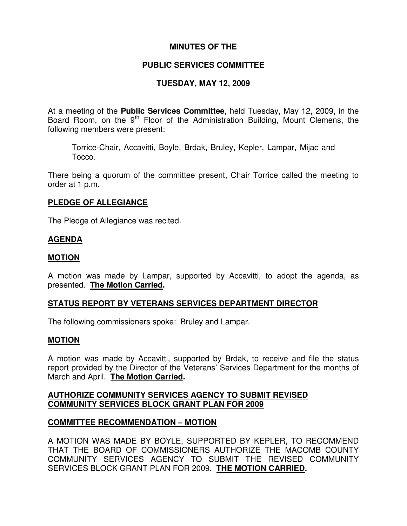# **MINUTES OF THE**

# **PUBLIC SERVICES COMMITTEE**

# **TUESDAY, MAY 12, 2009**

At a meeting of the **Public Services Committee**, held Tuesday, May 12, 2009, in the Board Room, on the 9<sup>th</sup> Floor of the Administration Building, Mount Clemens, the following members were present:

Torrice-Chair, Accavitti, Boyle, Brdak, Bruley, Kepler, Lampar, Mijac and Tocco.

There being a quorum of the committee present, Chair Torrice called the meeting to order at 1 p.m.

#### **PLEDGE OF ALLEGIANCE**

The Pledge of Allegiance was recited.

#### **AGENDA**

#### **MOTION**

A motion was made by Lampar, supported by Accavitti, to adopt the agenda, as presented. **The Motion Carried.**

### **STATUS REPORT BY VETERANS SERVICES DEPARTMENT DIRECTOR**

The following commissioners spoke: Bruley and Lampar.

#### **MOTION**

A motion was made by Accavitti, supported by Brdak, to receive and file the status report provided by the Director of the Veterans' Services Department for the months of March and April. **The Motion Carried.**

#### **AUTHORIZE COMMUNITY SERVICES AGENCY TO SUBMIT REVISED COMMUNITY SERVICES BLOCK GRANT PLAN FOR 2009**

#### **COMMITTEE RECOMMENDATION – MOTION**

A MOTION WAS MADE BY BOYLE, SUPPORTED BY KEPLER, TO RECOMMEND THAT THE BOARD OF COMMISSIONERS AUTHORIZE THE MACOMB COUNTY COMMUNITY SERVICES AGENCY TO SUBMIT THE REVISED COMMUNITY SERVICES BLOCK GRANT PLAN FOR 2009. **THE MOTION CARRIED.**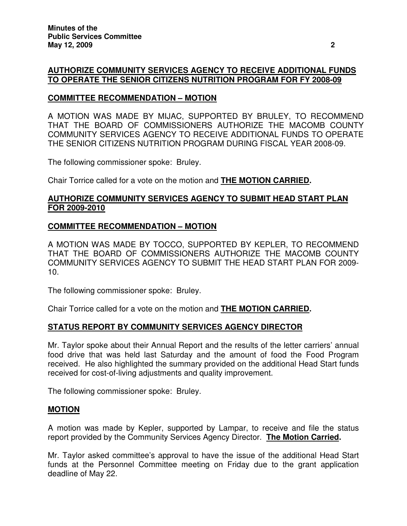### **AUTHORIZE COMMUNITY SERVICES AGENCY TO RECEIVE ADDITIONAL FUNDS TO OPERATE THE SENIOR CITIZENS NUTRITION PROGRAM FOR FY 2008-09**

# **COMMITTEE RECOMMENDATION – MOTION**

A MOTION WAS MADE BY MIJAC, SUPPORTED BY BRULEY, TO RECOMMEND THAT THE BOARD OF COMMISSIONERS AUTHORIZE THE MACOMB COUNTY COMMUNITY SERVICES AGENCY TO RECEIVE ADDITIONAL FUNDS TO OPERATE THE SENIOR CITIZENS NUTRITION PROGRAM DURING FISCAL YEAR 2008-09.

The following commissioner spoke: Bruley.

Chair Torrice called for a vote on the motion and **THE MOTION CARRIED.**

#### **AUTHORIZE COMMUNITY SERVICES AGENCY TO SUBMIT HEAD START PLAN FOR 2009-2010**

### **COMMITTEE RECOMMENDATION – MOTION**

A MOTION WAS MADE BY TOCCO, SUPPORTED BY KEPLER, TO RECOMMEND THAT THE BOARD OF COMMISSIONERS AUTHORIZE THE MACOMB COUNTY COMMUNITY SERVICES AGENCY TO SUBMIT THE HEAD START PLAN FOR 2009- 10.

The following commissioner spoke: Bruley.

Chair Torrice called for a vote on the motion and **THE MOTION CARRIED.**

### **STATUS REPORT BY COMMUNITY SERVICES AGENCY DIRECTOR**

Mr. Taylor spoke about their Annual Report and the results of the letter carriers' annual food drive that was held last Saturday and the amount of food the Food Program received. He also highlighted the summary provided on the additional Head Start funds received for cost-of-living adjustments and quality improvement.

The following commissioner spoke: Bruley.

#### **MOTION**

A motion was made by Kepler, supported by Lampar, to receive and file the status report provided by the Community Services Agency Director. **The Motion Carried.**

Mr. Taylor asked committee's approval to have the issue of the additional Head Start funds at the Personnel Committee meeting on Friday due to the grant application deadline of May 22.